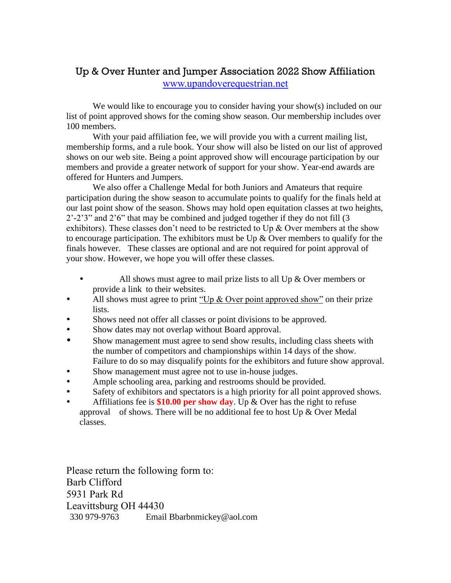## Up & Over Hunter and Jumper Association 2022 Show Affiliation [www.upandoverequestrian.net](http://www.upandoverequestrian.net/)

We would like to encourage you to consider having your show(s) included on our list of point approved shows for the coming show season. Our membership includes over 100 members.

With your paid affiliation fee, we will provide you with a current mailing list, membership forms, and a rule book. Your show will also be listed on our list of approved shows on our web site. Being a point approved show will encourage participation by our members and provide a greater network of support for your show. Year-end awards are offered for Hunters and Jumpers.

We also offer a Challenge Medal for both Juniors and Amateurs that require participation during the show season to accumulate points to qualify for the finals held at our last point show of the season. Shows may hold open equitation classes at two heights, 2'-2'3" and 2'6" that may be combined and judged together if they do not fill (3 exhibitors). These classes don't need to be restricted to Up  $\&$  Over members at the show to encourage participation. The exhibitors must be Up  $\&$  Over members to qualify for the finals however. These classes are optional and are not required for point approval of your show. However, we hope you will offer these classes.

- All shows must agree to mail prize lists to all Up  $\&$  Over members or provide a link to their websites.
- All shows must agree to print "Up  $\&$  Over point approved show" on their prize lists.
- Shows need not offer all classes or point divisions to be approved.
- Show dates may not overlap without Board approval.
- Show management must agree to send show results, including class sheets with the number of competitors and championships within 14 days of the show. Failure to do so may disqualify points for the exhibitors and future show approval.
- Show management must agree not to use in-house judges.
- Ample schooling area, parking and restrooms should be provided.
- Safety of exhibitors and spectators is a high priority for all point approved shows.
- Affiliations fee is **\$10.00 per show day**. Up & Over has the right to refuse approval of shows. There will be no additional fee to host Up  $\&$  Over Medal classes.

Please return the following form to: Barb Clifford 5931 Park Rd Leavittsburg OH 44430 330 979-9763 Email Bbarbnmickey@aol.com